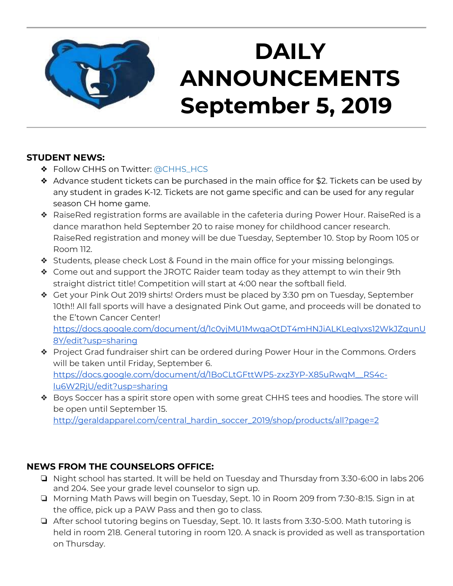

# **DAILY ANNOUNCEMENTS September 5, 2019**

### **STUDENT NEWS:**

- ◆ Follow CHHS on Twitter: [@CHHS\\_HCS](https://twitter.com/CHHS_HCS)
- ❖ Advance student tickets can be purchased in the main office for \$2. Tickets can be used by any student in grades K-12. Tickets are not game specific and can be used for any regular season CH home game.
- ❖ RaiseRed registration forms are available in the cafeteria during Power Hour. RaiseRed is a dance marathon held September 20 to raise money for childhood cancer research. RaiseRed registration and money will be due Tuesday, September 10. Stop by Room 105 or Room 112.
- ❖ Students, please check Lost & Found in the main office for your missing belongings.
- ❖ Come out and support the JROTC Raider team today as they attempt to win their 9th straight district title! Competition will start at 4:00 near the softball field.
- ❖ Get your Pink Out 2019 shirts! Orders must be placed by 3:30 pm on Tuesday, September 10th!! All fall sports will have a designated Pink Out game, and proceeds will be donated to the E'town Cancer Center! [https://docs.google.com/document/d/1c0yjMU1MwqaOtDT4mHNJiALKLeqIyxs12WkJZqunU](https://docs.google.com/document/d/1c0yjMU1MwqaOtDT4mHNJiALKLeqIyxs12WkJZqunU8Y/edit?usp=sharing) [8Y/edit?usp=sharing](https://docs.google.com/document/d/1c0yjMU1MwqaOtDT4mHNJiALKLeqIyxs12WkJZqunU8Y/edit?usp=sharing)
- ❖ Project Grad fundraiser shirt can be ordered during Power Hour in the Commons. Orders will be taken until Friday, September 6. [https://docs.google.com/document/d/1BoCLtGFttWP5-zxz3YP-X85uRwqM\\_\\_RS4c](https://docs.google.com/document/d/1BoCLtGFttWP5-zxz3YP-X85uRwqM__RS4c-lu6W2RjU/edit?usp=sharing)[lu6W2RjU/edit?usp=sharing](https://docs.google.com/document/d/1BoCLtGFttWP5-zxz3YP-X85uRwqM__RS4c-lu6W2RjU/edit?usp=sharing)
- ❖ Boys Soccer has a spirit store open with some great CHHS tees and hoodies. The store will be open until September 15.

[http://geraldapparel.com/central\\_hardin\\_soccer\\_2019/shop/products/all?page=2](http://geraldapparel.com/central_hardin_soccer_2019/shop/products/all?page=2)

### **NEWS FROM THE COUNSELORS OFFICE:**

- ❏ Night school has started. It will be held on Tuesday and Thursday from 3:30-6:00 in labs 206 and 204. See your grade level counselor to sign up.
- ❏ Morning Math Paws will begin on Tuesday, Sept. 10 in Room 209 from 7:30-8:15. Sign in at the office, pick up a PAW Pass and then go to class.
- ❏ After school tutoring begins on Tuesday, Sept. 10. It lasts from 3:30-5:00. Math tutoring is held in room 218. General tutoring in room 120. A snack is provided as well as transportation on Thursday.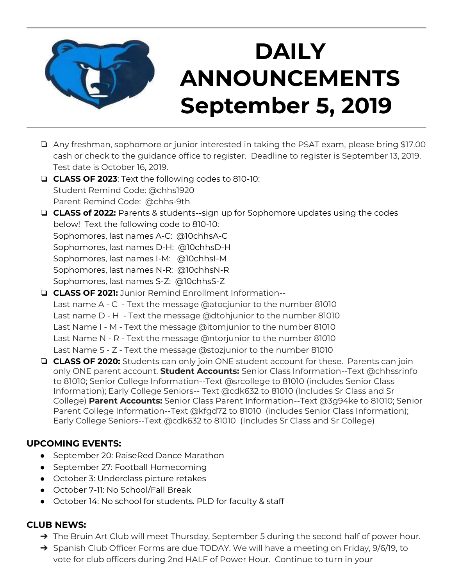

# **DAILY ANNOUNCEMENTS September 5, 2019**

- ❏ Any freshman, sophomore or junior interested in taking the PSAT exam, please bring \$17.00 cash or check to the guidance office to register. Deadline to register is September 13, 2019. Test date is October 16, 2019.
- ❏ **CLASS OF 2023**: Text the following codes to 810-10: Student Remind Code: @chhs1920 Parent Remind Code: @chhs-9th
- ❏ **CLASS of 2022:** Parents & students--sign up for Sophomore updates using the codes below! Text the following code to 810-10: Sophomores, last names A-C: @10chhsA-C Sophomores, last names D-H: @10chhsD-H Sophomores, last names I-M: @10chhsI-M Sophomores, last names N-R: @10chhsN-R Sophomores, last names S-Z: @10chhsS-Z
- ❏ **CLASS OF 2021:** Junior Remind Enrollment Information-- Last name A - C - Text the message @atocjunior to the number 81010 Last name D - H - Text the message @dtohjunior to the number 81010 Last Name I - M - Text the message @itomjunior to the number 81010 Last Name N - R - Text the message @ntorjunior to the number 81010 Last Name S - Z - Text the message @stozjunior to the number 81010
- ❏ **CLASS OF 2020:** Students can only join ONE student account for these. Parents can join only ONE parent account. **Student Accounts:** Senior Class Information--Text @chhssrinfo to 81010; Senior College Information--Text @srcollege to 81010 (includes Senior Class Information); Early College Seniors-- Text @cdk632 to 81010 (Includes Sr Class and Sr College) **Parent Accounts:** Senior Class Parent Information--Text @3g94ke to 81010; Senior Parent College Information--Text @kfgd72 to 81010 (includes Senior Class Information); Early College Seniors--Text @cdk632 to 81010 (Includes Sr Class and Sr College)

### **UPCOMING EVENTS:**

- September 20: RaiseRed Dance Marathon
- September 27: Football Homecoming
- October 3: Underclass picture retakes
- October 7-11: No School/Fall Break
- October 14: No school for students. PLD for faculty & staff

#### **CLUB NEWS:**

- → The Bruin Art Club will meet Thursday, September 5 during the second half of power hour.
- → Spanish Club Officer Forms are due TODAY. We will have a meeting on Friday, 9/6/19, to vote for club officers during 2nd HALF of Power Hour. Continue to turn in your